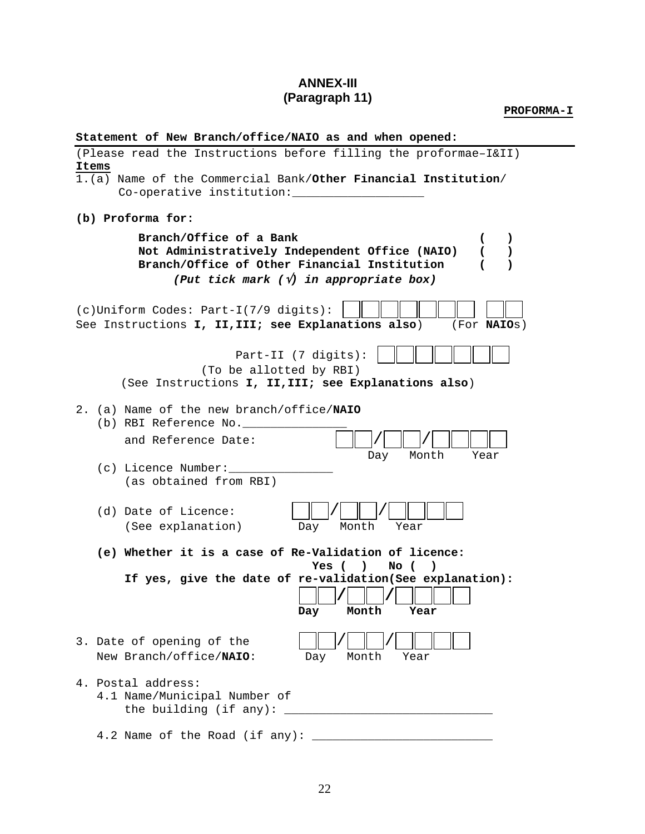# **ANNEX-III (Paragraph 11)**

**PROFORMA-I** 

|       | Statement of New Branch/office/NAIO as and when opened: |  |                                                                  |
|-------|---------------------------------------------------------|--|------------------------------------------------------------------|
|       |                                                         |  | (Please read the Instructions before filling the proformae-I&II) |
| Items |                                                         |  |                                                                  |
|       |                                                         |  | 1.(a) Name of the Commercial Bank/Other Financial Institution/   |

Co-operative institution:\_\_\_\_\_\_\_\_\_\_\_\_\_\_\_\_\_\_\_\_\_

**(b) Proforma for:** 

|  | Branch/Office of a Bank<br>€<br>$\lambda$<br>Not Administratively Independent Office (NAIO)<br>(<br>$\lambda$<br>Branch/Office of Other Financial Institution<br>$\overline{ }$<br>$\lambda$<br>(Put tick mark $(\sqrt{v})$ in appropriate box) |
|--|-------------------------------------------------------------------------------------------------------------------------------------------------------------------------------------------------------------------------------------------------|
|  | (c) Uniform Codes: Part-I(7/9 digits):<br>See Instructions I, II, III; see Explanations also)<br>(For <b>NAIOS</b> )                                                                                                                            |
|  | Part-II (7 digits):<br>(To be allotted by RBI)<br>(See Instructions I, II, III; see Explanations also)                                                                                                                                          |
|  | 2. (a) Name of the new branch/office/NAIO<br>(b) RBI Reference No.<br>and Reference Date:<br>Day<br>Month<br>Year<br>(c) Licence Number:<br>(as obtained from RBI)                                                                              |
|  | (d) Date of Licence:<br>(See explanation)<br>Day<br>Month<br>Year                                                                                                                                                                               |
|  | (e) Whether it is a case of Re-Validation of licence:<br>Yes ( )<br>No (<br>$\lambda$<br>If yes, give the date of re-validation(See explanation):<br>Month<br>Day<br>Year                                                                       |
|  | 3. Date of opening of the<br>New Branch/office/NAIO:<br>Month<br>Year<br>Day                                                                                                                                                                    |
|  | 4. Postal address:<br>4.1 Name/Municipal Number of<br>the building (if any): $_{-}$                                                                                                                                                             |
|  | 4.2 Name of the Road (if any):                                                                                                                                                                                                                  |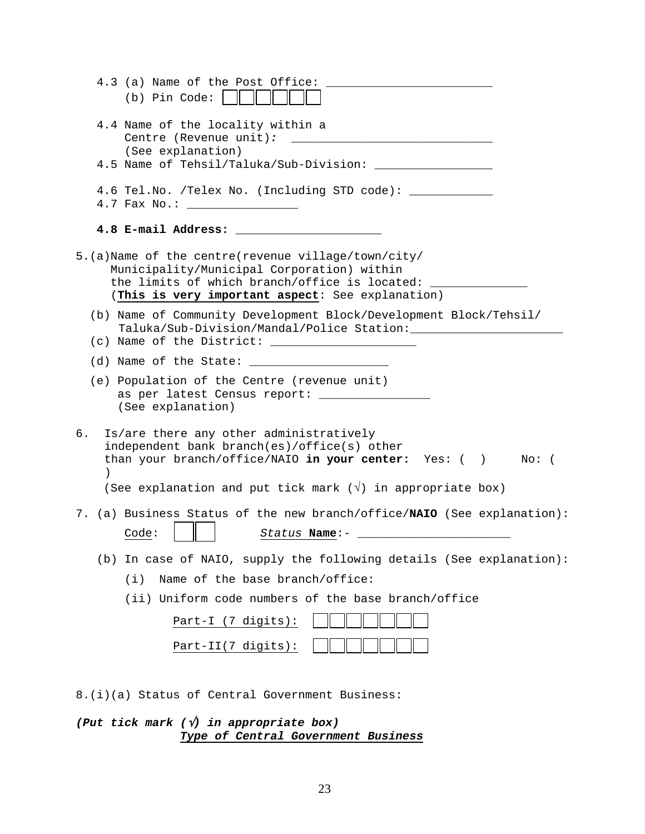| 4.3 (a) Name of the Post Office:<br>$(b)$ Pin Code: $ $                                                                                                                                                                           |
|-----------------------------------------------------------------------------------------------------------------------------------------------------------------------------------------------------------------------------------|
| 4.4 Name of the locality within a<br>Centre (Revenue unit): ___________<br>(See explanation)                                                                                                                                      |
|                                                                                                                                                                                                                                   |
| 4.6 Tel.No. /Telex No. (Including STD code): ___________                                                                                                                                                                          |
|                                                                                                                                                                                                                                   |
| 5.(a)Name of the centre(revenue village/town/city/<br>Municipality/Municipal Corporation) within<br>the limits of which branch/office is located:<br>(This is very important aspect: See explanation)                             |
| (b) Name of Community Development Block/Development Block/Tehsil/<br>(c) Name of the District: $\frac{1}{2}$ (c) Name of the District: $\frac{1}{2}$                                                                              |
|                                                                                                                                                                                                                                   |
| (e) Population of the Centre (revenue unit)<br>as per latest Census report: ________________<br>(See explanation)                                                                                                                 |
| Is/are there any other administratively<br>б.<br>independent bank branch(es)/office(s) other<br>than your branch/office/NAIO in your center: Yes: () No: (<br>(See explanation and put tick mark $(\sqrt{2})$ in appropriate box) |
| 7. (a) Business Status of the new branch/office/NAIO (See explanation):<br>Code:<br>$Status$ Name:-                                                                                                                               |
| In case of NAIO, supply the following details (See explanation):<br>(d)                                                                                                                                                           |
| Name of the base branch/office:<br>(i)                                                                                                                                                                                            |
| (ii) Uniform code numbers of the base branch/office                                                                                                                                                                               |
| Part-I (7 digits):                                                                                                                                                                                                                |
| Part-II(7 digits):                                                                                                                                                                                                                |
|                                                                                                                                                                                                                                   |

8.(i)(a) Status of Central Government Business:

*(Put tick mark (*√*) in appropriate box) Type of Central Government Business*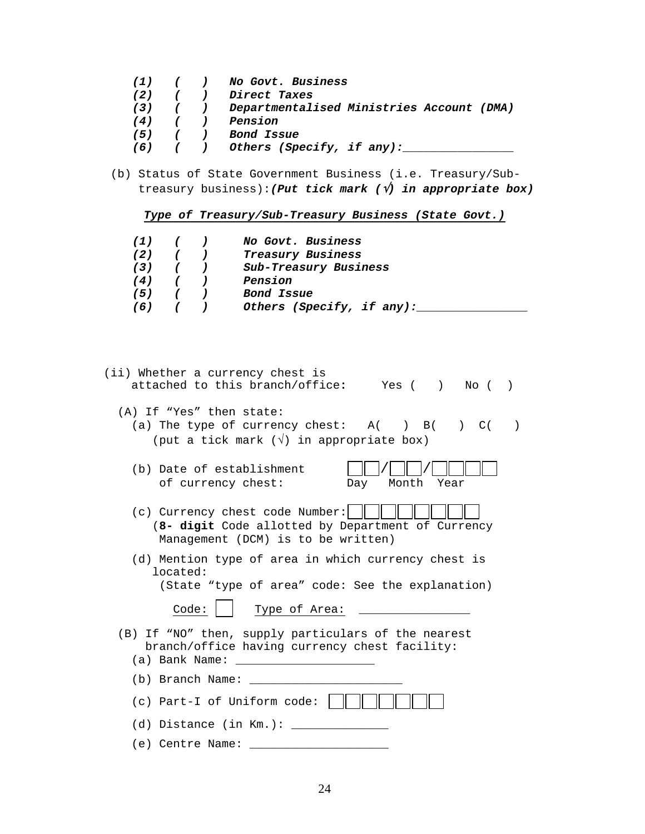- *(1) ( ) No Govt. Business*
- *(2) ( ) Direct Taxes*
- *(3) ( ) Departmentalised Ministries Account (DMA)*
- *(4) ( ) Pension*
- *(5) ( ) Bond Issue*
- *(6) ( ) Others (Specify, if any):\_\_\_\_\_\_\_\_\_\_\_\_\_\_\_\_*
- (b) Status of State Government Business (i.e. Treasury/Sub treasury business):*(Put tick mark (*√*) in appropriate box)*

*Type of Treasury/Sub-Treasury Business (State Govt.)*

| $(1)$ $(1)$ |  | <i>No Govt. Business</i>  |
|-------------|--|---------------------------|
| (2)         |  | Treasury Business         |
| (3)         |  | Sub-Treasury Business     |
| (4)         |  | Pension                   |
| (5)         |  | Bond Issue                |
| (6)         |  | Others (Specify, if any): |

| (ii) Whether a currency chest is<br>attached to this branch/office: Yes () No ()                                                       |  |
|----------------------------------------------------------------------------------------------------------------------------------------|--|
| (A) If "Yes" then state:<br>(a) The type of currency chest: $A( ) B( ) C($<br>(put a tick mark $(\sqrt{})$ in appropriate box)         |  |
| (b) Date of establishment<br>of currency chest:<br>Day Month Year                                                                      |  |
| (c) Currency chest code Number: $\ \cdot\ $<br>(8- digit Code allotted by Department of Currency<br>Management (DCM) is to be written) |  |
| (d) Mention type of area in which currency chest is<br>located:<br>(State "type of area" code: See the explanation)                    |  |
| Code:<br>Type of Area:                                                                                                                 |  |
| (B) If "NO" then, supply particulars of the nearest<br>branch/office having currency chest facility:                                   |  |
| (b) Branch Name: _                                                                                                                     |  |
| (c) Part-I of Uniform code:                                                                                                            |  |
| (d) Distance (in Km.):                                                                                                                 |  |
| (e) Centre Name:                                                                                                                       |  |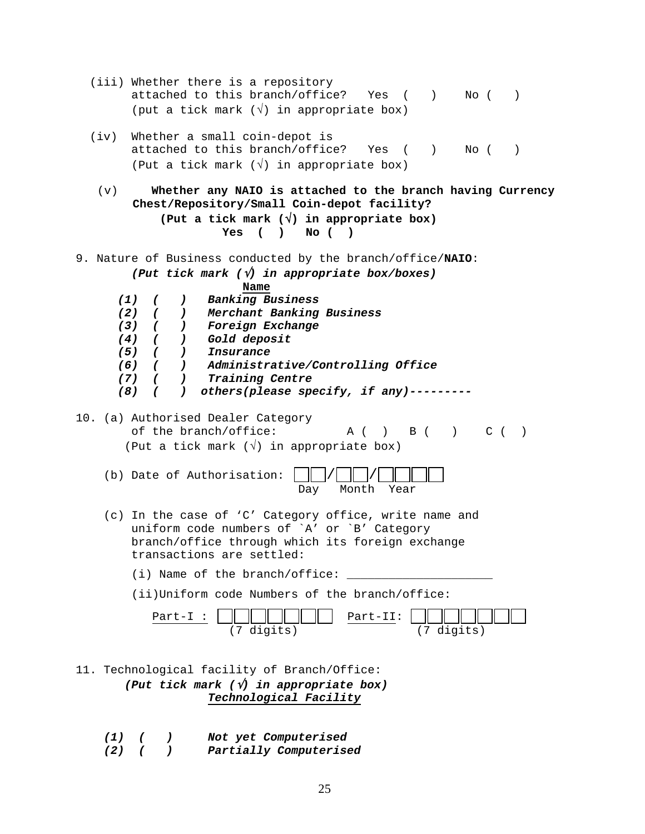| (iii) Whether there is a repository<br>attached to this branch/office? Yes ()<br>No (<br>(put a tick mark $(\sqrt{})$ in appropriate box)                                                                                                                                                                                                                                                                                                                                                                | $\lambda$ |
|----------------------------------------------------------------------------------------------------------------------------------------------------------------------------------------------------------------------------------------------------------------------------------------------------------------------------------------------------------------------------------------------------------------------------------------------------------------------------------------------------------|-----------|
| Whether a small coin-depot is<br>(iv)<br>attached to this branch/office?<br>$\left( \begin{array}{c} \end{array} \right)$<br>No (<br>Yes<br>$\sqrt{2}$<br>(Put a tick mark $(\sqrt{})$ in appropriate box)                                                                                                                                                                                                                                                                                               | $\lambda$ |
| Whether any NAIO is attached to the branch having Currency<br>(v)<br>Chest/Repository/Small Coin-depot facility?<br>(Put a tick mark $(\sqrt{})$ in appropriate box)<br>$\sqrt{ }$<br>$No$ ( )<br><b>Yes</b><br>$\lambda$                                                                                                                                                                                                                                                                                |           |
| 9. Nature of Business conducted by the branch/office/NAIO:<br>(Put tick mark $(\sqrt{v})$ in appropriate box/boxes)<br>Name<br>(1)<br><b>Banking Business</b><br>$\epsilon$<br>$\lambda$<br>Merchant Banking Business<br>(2)<br>$\sqrt{2}$<br>$\mathcal{L}$<br>) Foreign Exchange<br>$(3)$ (<br>$(4)$ (<br>) Gold deposit<br>$(5)$ (<br>) Insurance<br>(6) ( ) Administrative/Controlling Office<br>$\sqrt{2}$<br>(7)<br>) Training Centre<br>others(please specify, if any)----<br>$(8)$ (<br>$\lambda$ |           |
| 10. (a) Authorised Dealer Category<br>of the branch/office:<br>B ( ) C ( )<br>A (<br>$\rightarrow$<br>(Put a tick mark $(\sqrt{})$ in appropriate box)<br>(b) Date of Authorisation:<br>Month<br>Year<br>Day                                                                                                                                                                                                                                                                                             |           |
| (c) In the case of 'C' Category office, write name and<br>uniform code numbers of `A' or `B' Category<br>branch/office through which its foreign exchange<br>transactions are settled:                                                                                                                                                                                                                                                                                                                   |           |
| (i) Name of the branch/office:                                                                                                                                                                                                                                                                                                                                                                                                                                                                           |           |
| (ii)Uniform code Numbers of the branch/office:                                                                                                                                                                                                                                                                                                                                                                                                                                                           |           |
| Part-II:<br>Part-I<br>(7 digits)<br>(7 digits)                                                                                                                                                                                                                                                                                                                                                                                                                                                           |           |
| Technological facility of Branch/Office:<br>11.<br>(Put tick mark $(\sqrt{v})$ in appropriate box)<br>Technological Facility                                                                                                                                                                                                                                                                                                                                                                             |           |
| Not yet Computerised<br>(1)<br>$\epsilon$<br>$\mathcal{L}$                                                                                                                                                                                                                                                                                                                                                                                                                                               |           |

 *(2) ( ) Partially Computerised*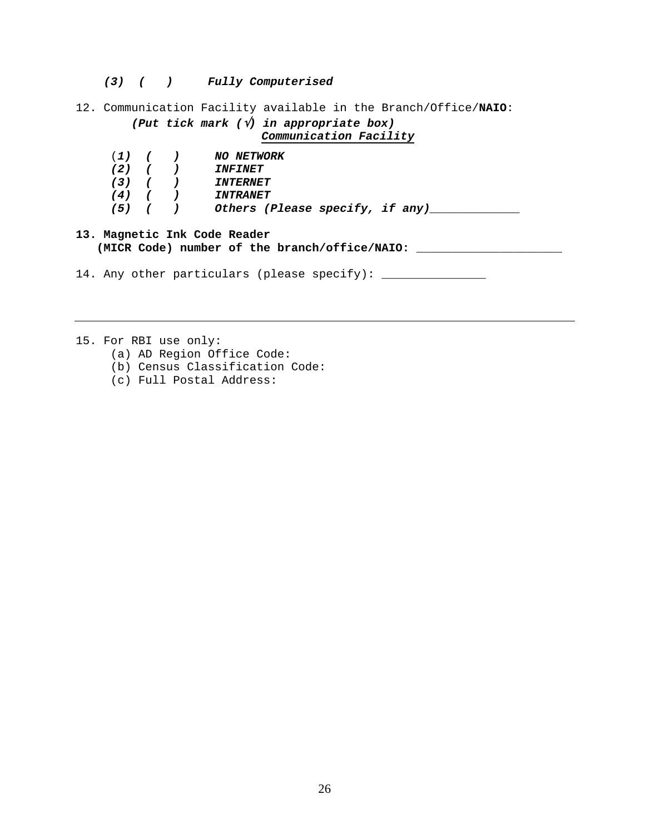*(3) ( ) Fully Computerised* 

12. Communication Facility available in the Branch/Office/**NAIO**:

## *(Put tick mark (*√*) in appropriate box) Communication Facility*

| $(1)$ $(1)$ |  | <i>NO NETWORK</i>               |
|-------------|--|---------------------------------|
| $(2)$ $($   |  | <i><b>INFINET</b></i>           |
| $(3)$ $( )$ |  | <i><b>INTERNET</b></i>          |
| $(4)$ ( )   |  | <i><b>INTRANET</b></i>          |
| $(5)$ (     |  | Others (Please specify, if any) |

#### **13. Magnetic Ink Code Reader (MICR Code) number of the branch/office/NAIO: \_\_\_\_\_\_\_\_\_\_\_\_\_\_\_\_\_\_\_\_\_**

14. Any other particulars (please specify): \_\_\_\_\_\_\_\_\_\_\_\_\_\_\_

15. For RBI use only:

- (a) AD Region Office Code:
- (b) Census Classification Code:
- (c) Full Postal Address: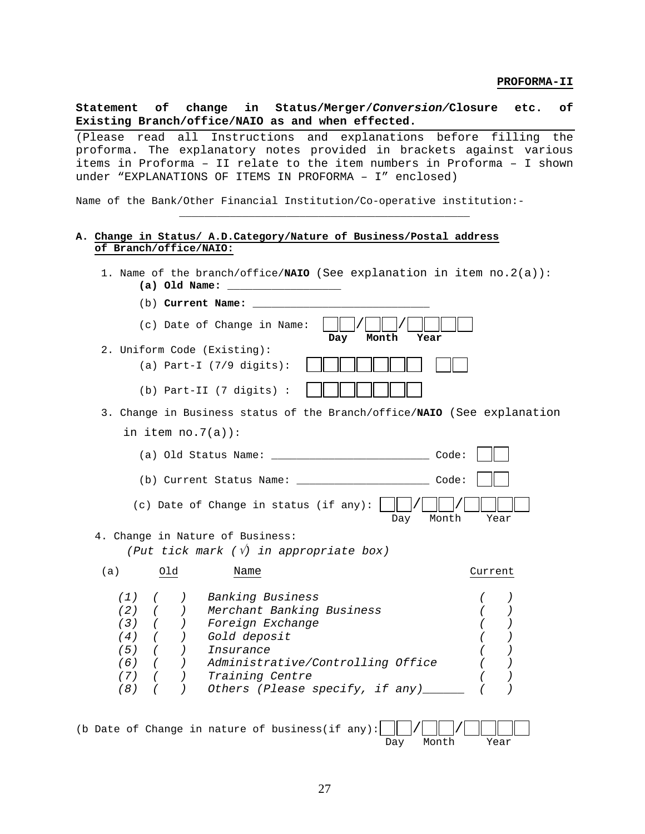**Statement of change in Status/Merger/***Conversion/***Closure etc. of Existing Branch/office/NAIO as and when effected.** 

(Please read all Instructions and explanations before filling the proforma. The explanatory notes provided in brackets against various items in Proforma – II relate to the item numbers in Proforma – I shown under "EXPLANATIONS OF ITEMS IN PROFORMA – I" enclosed)

\_\_\_\_\_\_\_\_\_\_\_\_\_\_\_\_\_\_\_\_\_\_\_\_\_\_\_\_\_\_\_\_\_\_\_\_\_\_\_\_\_\_\_\_\_\_

Name of the Bank/Other Financial Institution/Co-operative institution:-

#### **A. Change in Status/ A.D.Category/Nature of Business/Postal address of Branch/office/NAIO:**

1. Name of the branch/office/**NAIO** (See explanation in item no.2(a)): **(a) Old Name: \_\_\_\_\_\_\_\_\_\_\_\_\_\_\_\_\_\_** 

| (b) Current Name:                                                                                                                                                                                                                                                                      |
|----------------------------------------------------------------------------------------------------------------------------------------------------------------------------------------------------------------------------------------------------------------------------------------|
| (c) Date of Change in Name:<br>Day<br>Month<br>Year                                                                                                                                                                                                                                    |
| 2. Uniform Code (Existing):                                                                                                                                                                                                                                                            |
| (a) Part-I $(7/9$ digits):                                                                                                                                                                                                                                                             |
| (b) Part-II (7 digits) :                                                                                                                                                                                                                                                               |
| 3. Change in Business status of the Branch/office/NAIO (See explanation                                                                                                                                                                                                                |
| in item $no.7(a)$ :                                                                                                                                                                                                                                                                    |
| Code:                                                                                                                                                                                                                                                                                  |
| (b) Current Status Name:<br>Code:                                                                                                                                                                                                                                                      |
| (c) Date of Change in status (if any):<br>Month<br>Day<br>Year                                                                                                                                                                                                                         |
| 4. Change in Nature of Business:                                                                                                                                                                                                                                                       |
| (Put tick mark $(\sqrt{v})$ in appropriate box)                                                                                                                                                                                                                                        |
| (a)<br>Old<br>Name<br>Current                                                                                                                                                                                                                                                          |
| Banking Business<br>(1)<br>$(2)$ (<br>Merchant Banking Business<br>$(3)$ (<br>Foreign Exchange<br>(4)<br>$\sqrt{2}$<br>Gold deposit<br>$(5)$ ( )<br>Insurance<br>$(6)$ ( )<br>Administrative/Controlling Office<br>Training Centre<br>(7)<br>Others (Please specify, if any)___<br>(8) |

|  |  |  | (b Date of Change in nature of business(if any): $\Box$ / $\Box$ / $\Box$ / |  |                |
|--|--|--|-----------------------------------------------------------------------------|--|----------------|
|  |  |  |                                                                             |  | Day Month Year |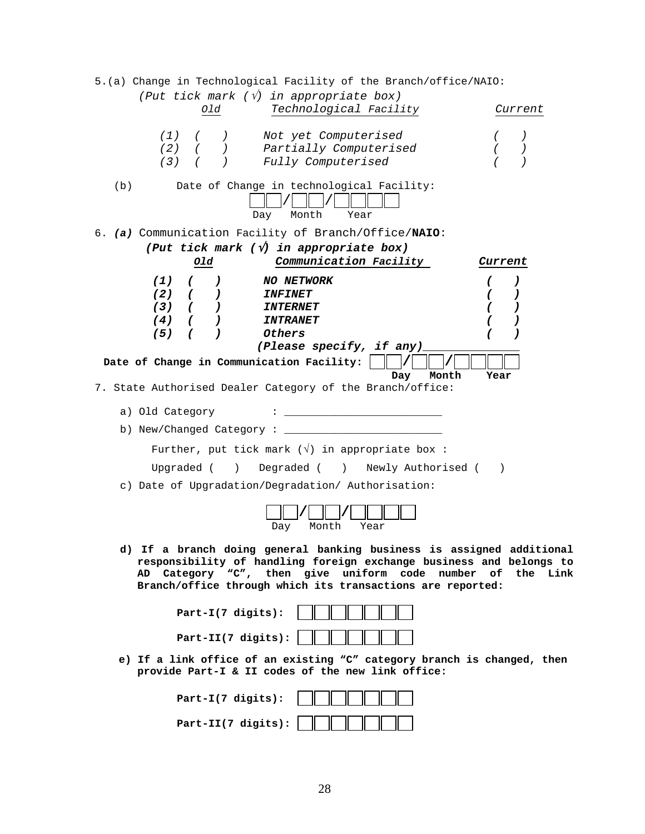5.(a) Change in Technological Facility of the Branch/office/NAIO:  *(Put tick mark (*√*) in appropriate box) Old Technological Facility Current (1) ( ) Not yet Computerised ( ) (2) ( ) Partially Computerised ( ) (3) ( ) Fully Computerised ( )*  (b) Date of Change in technological Facility:  $\Box$  /  $\Box$  /  $\Box$  / Day Month Year 6. *(a)* Communication Facility of Branch/Office/**NAIO**: *(Put tick mark (*√*) in appropriate box) Old Communication Facility Current (1) ( ) NO NETWORK ( ) (2) ( ) INFINET ( ) (3) ( ) INTERNET ( ) (4) ( ) INTRANET ( ) (5) ( ) Others ( ) (Please specify, if any)\_\_\_\_\_\_\_\_\_\_\_\_\_\_*  Date of Change in Communication Facility: |  **Day Month Year Day Month Year**  7. State Authorised Dealer Category of the Branch/office: a) Old Category : \_\_\_\_\_\_\_\_\_\_\_\_\_\_\_\_\_\_\_\_\_\_\_\_\_ b) New/Changed Category : \_\_\_\_\_\_\_\_\_\_\_\_\_\_\_\_\_\_\_\_\_\_\_\_\_ Further, put tick mark  $(\sqrt{2})$  in appropriate box: Upgraded ( ) Degraded ( ) Newly Authorised ( ) c) Date of Upgradation/Degradation/ Authorisation: **/ /** Day Month Year  **d) If a branch doing general banking business is assigned additional responsibility of handling foreign exchange business and belongs to AD Category "C", then give uniform code number of the Link Branch/office through which its transactions are reported: Part-I(7 digits): Part-II(7 digits): e) If a link office of an existing "C" category branch is changed, then provide Part-I & II codes of the new link office: Part-I(7 digits):** 

 **Part-II(7 digits):**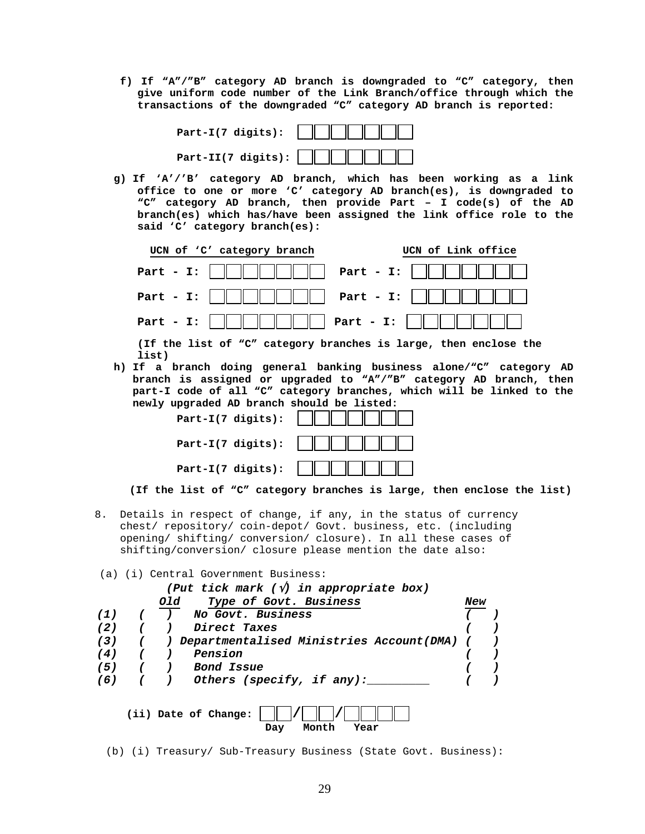**f) If "A"/"B" category AD branch is downgraded to "C" category, then give uniform code number of the Link Branch/office through which the transactions of the downgraded "C" category AD branch is reported:** 

| Part-I(7 digits): $   \t      \t        $ |  |  |  |
|-------------------------------------------|--|--|--|
|                                           |  |  |  |

**g) If 'A'/'B' category AD branch, which has been working as a link office to one or more 'C' category AD branch(es), is downgraded to "C" category AD branch, then provide Part – I code(s) of the AD branch(es) which has/have been assigned the link office role to the said 'C' category branch(es):** 

| UCN of 'C' category branch                                          | UCN of Link office |
|---------------------------------------------------------------------|--------------------|
| Part - I: $\ \ \ \ \ \ \ \ \ $           Part - I: $\ \ \ \ \ \ \ $ |                    |
| Part - I: $\ \ \ \ \ \ \ \ \ $         Part - I: $\ \ \ \ \ \ \ $   |                    |
| Part - I: $\ \ \ \ \ \ \ \ $             Part - I:                  |                    |
|                                                                     |                    |

**(If the list of "C" category branches is large, then enclose the list)** 

**h) If a branch doing general banking business alone/"C" category AD branch is assigned or upgraded to "A"/"B" category AD branch, then part-I code of all "C" category branches, which will be linked to the newly upgraded AD branch should be listed:** 

| $Part-I(7 digits):$      |  |
|--------------------------|--|
| Part-I(7 digits): $\ \ $ |  |
| Part-I(7 digits): $\ \ $ |  |

 **(If the list of "C" category branches is large, then enclose the list)** 

- 8. Details in respect of change, if any, in the status of currency chest/ repository/ coin-depot/ Govt. business, etc. (including opening/ shifting/ conversion/ closure). In all these cases of shifting/conversion/ closure please mention the date also:
- (a) (i) Central Government Business:

| (Put tick mark $(\sqrt{v})$ in appropriate box) |  |     |                                              |     |  |  |
|-------------------------------------------------|--|-----|----------------------------------------------|-----|--|--|
|                                                 |  | Old | Type of Govt. Business                       | New |  |  |
| (1)                                             |  |     | No Govt. Business                            |     |  |  |
| (2)                                             |  |     | Direct Taxes                                 |     |  |  |
| (3)                                             |  |     | Departmentalised Ministries Account(DMA) (   |     |  |  |
| (4)                                             |  |     | Pension                                      |     |  |  |
| (5)                                             |  |     | <i>Bond Issue</i>                            |     |  |  |
| (6)                                             |  |     | Others (specify, if any):                    |     |  |  |
|                                                 |  |     | (ii) Date of Change:<br>Month<br>Year<br>Day |     |  |  |

(b) (i) Treasury/ Sub-Treasury Business (State Govt. Business):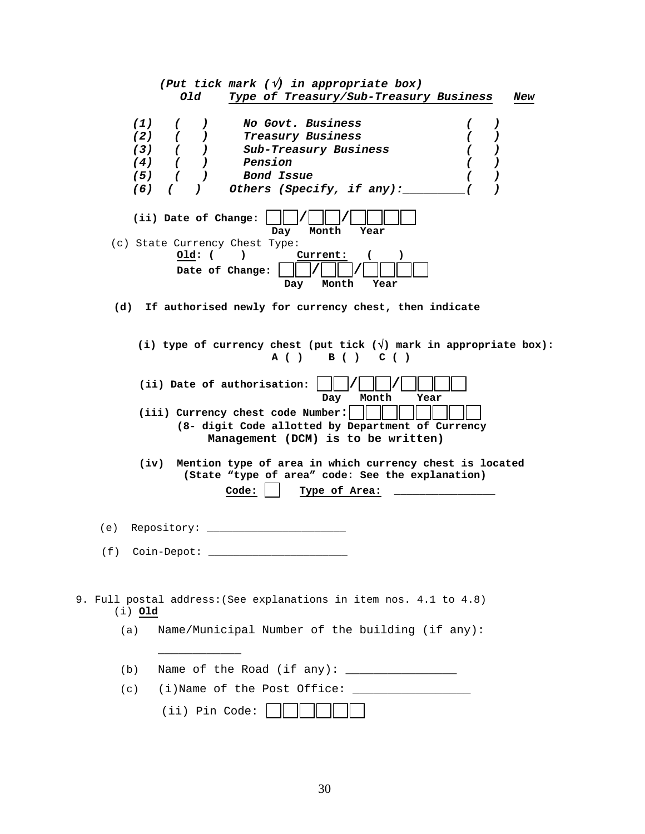| (Put tick mark $(\sqrt{v})$ in appropriate box)                                                                              |  |  |  |  |  |  |  |  |
|------------------------------------------------------------------------------------------------------------------------------|--|--|--|--|--|--|--|--|
| old<br>Type of Treasury/Sub-Treasury Business<br>New                                                                         |  |  |  |  |  |  |  |  |
|                                                                                                                              |  |  |  |  |  |  |  |  |
| No Govt. Business<br>(1)<br>$\left( \begin{array}{c} 1 \end{array} \right)$<br>$\mathcal{L}$                                 |  |  |  |  |  |  |  |  |
| $(2)$ (<br>Treasury Business<br>$\mathcal{L}$<br>$\mathcal{L}$                                                               |  |  |  |  |  |  |  |  |
| $(3)$ (<br>Sub-Treasury Business<br>$\mathcal{L}$<br>$\lambda$<br>0                                                          |  |  |  |  |  |  |  |  |
| $(4)$ ( )<br>Pension<br>$\mathcal{L}$<br>C                                                                                   |  |  |  |  |  |  |  |  |
| $(5)$ (<br>Bond Issue<br><u>)</u><br>$\left( \right)$                                                                        |  |  |  |  |  |  |  |  |
| Others (Specify, if any):<br>$(6)$ ( )<br>$\lambda$                                                                          |  |  |  |  |  |  |  |  |
| (ii) Date of Change:<br>Day<br>Month<br>Year                                                                                 |  |  |  |  |  |  |  |  |
| (c) State Currency Chest Type:                                                                                               |  |  |  |  |  |  |  |  |
| Current:<br>Old: ( )<br>Date of Change:<br>Month<br>Day<br>Year                                                              |  |  |  |  |  |  |  |  |
| (d) If authorised newly for currency chest, then indicate                                                                    |  |  |  |  |  |  |  |  |
| (i) type of currency chest (put tick $(\sqrt{})$ mark in appropriate box):<br>A() B() C()                                    |  |  |  |  |  |  |  |  |
| (ii) Date of authorisation:<br>Day<br>Month<br>Year                                                                          |  |  |  |  |  |  |  |  |
| (iii) Currency chest code Number:<br>(8- digit Code allotted by Department of Currency<br>Management (DCM) is to be written) |  |  |  |  |  |  |  |  |
|                                                                                                                              |  |  |  |  |  |  |  |  |
| (iv) Mention type of area in which currency chest is located<br>(State "type of area" code: See the explanation)             |  |  |  |  |  |  |  |  |
| Code:                                                                                                                        |  |  |  |  |  |  |  |  |
| Type of Area:                                                                                                                |  |  |  |  |  |  |  |  |
| (e) Repository:                                                                                                              |  |  |  |  |  |  |  |  |
|                                                                                                                              |  |  |  |  |  |  |  |  |
|                                                                                                                              |  |  |  |  |  |  |  |  |
|                                                                                                                              |  |  |  |  |  |  |  |  |
| 9. Full postal address: (See explanations in item nos. 4.1 to 4.8)<br>(i) 01d                                                |  |  |  |  |  |  |  |  |
| Name/Municipal Number of the building (if any):<br>(a)                                                                       |  |  |  |  |  |  |  |  |
| (b)                                                                                                                          |  |  |  |  |  |  |  |  |
| (c)                                                                                                                          |  |  |  |  |  |  |  |  |
| (ii) Pin Code:                                                                                                               |  |  |  |  |  |  |  |  |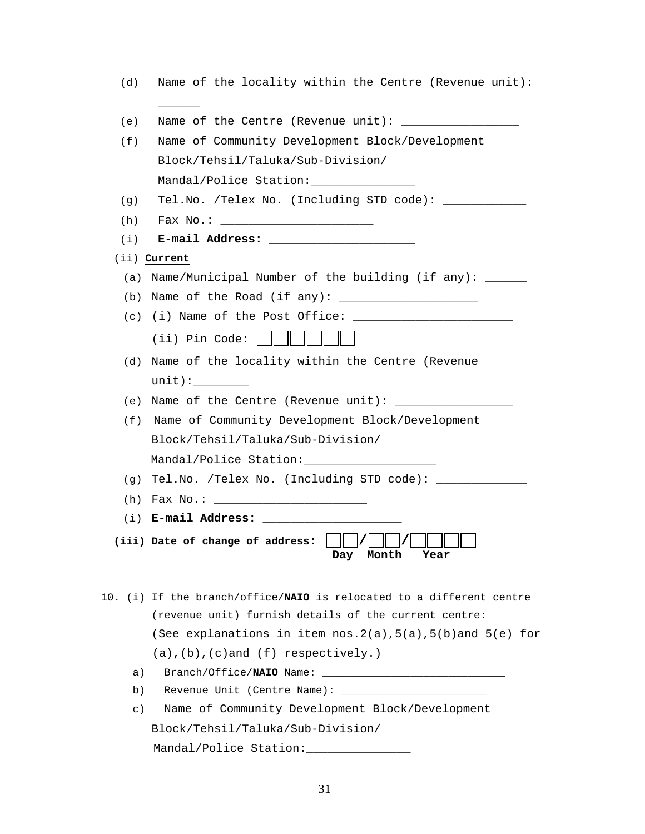| (d)     | Name of the locality within the Centre (Revenue unit):                |  |  |  |  |  |
|---------|-----------------------------------------------------------------------|--|--|--|--|--|
| (e)     | Name of the Centre (Revenue unit): ___________________                |  |  |  |  |  |
| (f)     | Name of Community Development Block/Development                       |  |  |  |  |  |
|         | Block/Tehsil/Taluka/Sub-Division/                                     |  |  |  |  |  |
|         | Mandal/Police Station: _______________                                |  |  |  |  |  |
| (g)     | Tel.No. /Telex No. (Including STD code): __________                   |  |  |  |  |  |
| (h)     |                                                                       |  |  |  |  |  |
| (i)     |                                                                       |  |  |  |  |  |
|         | (ii) Current                                                          |  |  |  |  |  |
| (a)     | Name/Municipal Number of the building (if any): _____                 |  |  |  |  |  |
|         | (b) Name of the Road (if any): $\frac{1}{2}$                          |  |  |  |  |  |
|         | $(c)$ (i) Name of the Post Office: $\frac{c}{c}$                      |  |  |  |  |  |
|         | (ii) Pin Code: $\parallel \parallel \parallel \parallel \parallel$    |  |  |  |  |  |
| (d)     | Name of the locality within the Centre (Revenue                       |  |  |  |  |  |
|         |                                                                       |  |  |  |  |  |
| (e)     |                                                                       |  |  |  |  |  |
| (f)     | Name of Community Development Block/Development                       |  |  |  |  |  |
|         | Block/Tehsil/Taluka/Sub-Division/                                     |  |  |  |  |  |
|         | Mandal/Police Station: ______________________                         |  |  |  |  |  |
| (q)     | Tel.No. /Telex No. (Including STD code): ___________                  |  |  |  |  |  |
|         |                                                                       |  |  |  |  |  |
|         | (i) E-mail Address: $\frac{1}{2}$ E-mail Address: $\frac{1}{2}$       |  |  |  |  |  |
|         | (iii) Date of change of address: $\ \ / \ $<br>Month<br>Day<br>Year   |  |  |  |  |  |
|         | 10. (i) If the branch/office/NAIO is relocated to a different centre  |  |  |  |  |  |
|         | (revenue unit) furnish details of the current centre:                 |  |  |  |  |  |
|         | (See explanations in item $nos.2(a)$ , $5(a)$ , $5(b)$ and $5(e)$ for |  |  |  |  |  |
|         | $(a)$ , $(b)$ , $(c)$ and $(f)$ respectively.)                        |  |  |  |  |  |
| a)      |                                                                       |  |  |  |  |  |
| b)      |                                                                       |  |  |  |  |  |
| $\in$ ) | Name of Community Development Block/Development                       |  |  |  |  |  |
|         | Block/Tehsil/Taluka/Sub-Division/                                     |  |  |  |  |  |
|         | Mandal/Police Station:                                                |  |  |  |  |  |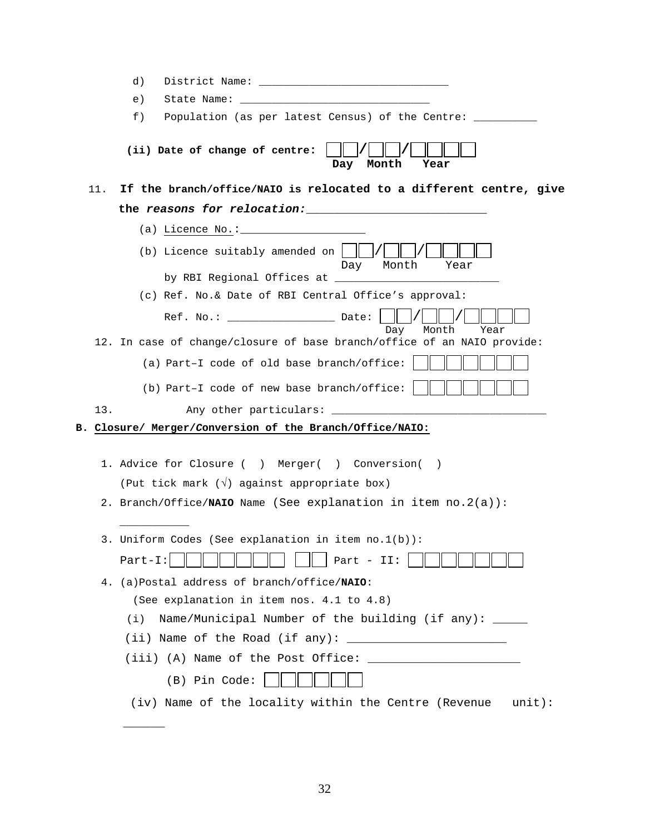|                                                              | d)                                                                                                                                                                                                                                                                                                         |  |  |  |  |  |  |  |  |
|--------------------------------------------------------------|------------------------------------------------------------------------------------------------------------------------------------------------------------------------------------------------------------------------------------------------------------------------------------------------------------|--|--|--|--|--|--|--|--|
|                                                              | e)<br>State Name: The State of the State of the State of the State of the State of the State of the State of the State of the State of the State of the State of the State of the State of the State of the State of the State of th                                                                       |  |  |  |  |  |  |  |  |
|                                                              | $f$ )<br>Population (as per latest Census) of the Centre: ___                                                                                                                                                                                                                                              |  |  |  |  |  |  |  |  |
|                                                              | (ii) Date of change of centre:<br>Month<br>Day<br>Year                                                                                                                                                                                                                                                     |  |  |  |  |  |  |  |  |
| 11.                                                          | If the branch/office/NAIO is relocated to a different centre, give                                                                                                                                                                                                                                         |  |  |  |  |  |  |  |  |
| the reasons for relocation: with the reasons for relocation: |                                                                                                                                                                                                                                                                                                            |  |  |  |  |  |  |  |  |
|                                                              |                                                                                                                                                                                                                                                                                                            |  |  |  |  |  |  |  |  |
|                                                              | (b) Licence suitably amended on  <br>Month<br>Year<br>Day                                                                                                                                                                                                                                                  |  |  |  |  |  |  |  |  |
|                                                              |                                                                                                                                                                                                                                                                                                            |  |  |  |  |  |  |  |  |
|                                                              | (c) Ref. No.& Date of RBI Central Office's approval:                                                                                                                                                                                                                                                       |  |  |  |  |  |  |  |  |
|                                                              | Month<br>Day<br>Year                                                                                                                                                                                                                                                                                       |  |  |  |  |  |  |  |  |
|                                                              | 12. In case of change/closure of base branch/office of an NAIO provide:                                                                                                                                                                                                                                    |  |  |  |  |  |  |  |  |
|                                                              | (a) Part-I code of old base branch/office:                                                                                                                                                                                                                                                                 |  |  |  |  |  |  |  |  |
|                                                              | (b) Part-I code of new base branch/office:                                                                                                                                                                                                                                                                 |  |  |  |  |  |  |  |  |
| 13.                                                          | Any other particulars: _____________________                                                                                                                                                                                                                                                               |  |  |  |  |  |  |  |  |
|                                                              | B. Closure/ Merger/Conversion of the Branch/Office/NAIO:                                                                                                                                                                                                                                                   |  |  |  |  |  |  |  |  |
|                                                              |                                                                                                                                                                                                                                                                                                            |  |  |  |  |  |  |  |  |
|                                                              | 1. Advice for Closure () Merger() Conversion()                                                                                                                                                                                                                                                             |  |  |  |  |  |  |  |  |
|                                                              | (Put tick mark $(\sqrt{ } )$ against appropriate box)                                                                                                                                                                                                                                                      |  |  |  |  |  |  |  |  |
|                                                              | 2. Branch/Office/NAIO Name (See explanation in item $no.2(a)$ ):                                                                                                                                                                                                                                           |  |  |  |  |  |  |  |  |
|                                                              |                                                                                                                                                                                                                                                                                                            |  |  |  |  |  |  |  |  |
|                                                              | 3. Uniform Codes (See explanation in item no.1(b)):                                                                                                                                                                                                                                                        |  |  |  |  |  |  |  |  |
|                                                              | $Part-I:$<br>Part - $II$ :                                                                                                                                                                                                                                                                                 |  |  |  |  |  |  |  |  |
| 4.                                                           | (a)Postal address of branch/office/NAIO:                                                                                                                                                                                                                                                                   |  |  |  |  |  |  |  |  |
|                                                              | (See explanation in item nos. 4.1 to 4.8)                                                                                                                                                                                                                                                                  |  |  |  |  |  |  |  |  |
|                                                              | Name/Municipal Number of the building (if any): _____<br>(i)                                                                                                                                                                                                                                               |  |  |  |  |  |  |  |  |
|                                                              | (ii) Name of the Road (if any): $\frac{1}{2}$ $\frac{1}{2}$ $\frac{1}{2}$ $\frac{1}{2}$ $\frac{1}{2}$ $\frac{1}{2}$ $\frac{1}{2}$ $\frac{1}{2}$ $\frac{1}{2}$ $\frac{1}{2}$ $\frac{1}{2}$ $\frac{1}{2}$ $\frac{1}{2}$ $\frac{1}{2}$ $\frac{1}{2}$ $\frac{1}{2}$ $\frac{1}{2}$ $\frac{1}{2}$ $\frac{1}{2}$  |  |  |  |  |  |  |  |  |
|                                                              | (iii) (A) Name of the Post Office: $\frac{1}{2}$ $\frac{1}{2}$ $\frac{1}{2}$ $\frac{1}{2}$ $\frac{1}{2}$ $\frac{1}{2}$ $\frac{1}{2}$ $\frac{1}{2}$ $\frac{1}{2}$ $\frac{1}{2}$ $\frac{1}{2}$ $\frac{1}{2}$ $\frac{1}{2}$ $\frac{1}{2}$ $\frac{1}{2}$ $\frac{1}{2}$ $\frac{1}{2}$ $\frac{1}{2}$ $\frac{1}{$ |  |  |  |  |  |  |  |  |
|                                                              | (B) Pin Code:                                                                                                                                                                                                                                                                                              |  |  |  |  |  |  |  |  |
|                                                              | (iv) Name of the locality within the Centre (Revenue<br>$unit)$ :                                                                                                                                                                                                                                          |  |  |  |  |  |  |  |  |

 $\overline{\phantom{a}}$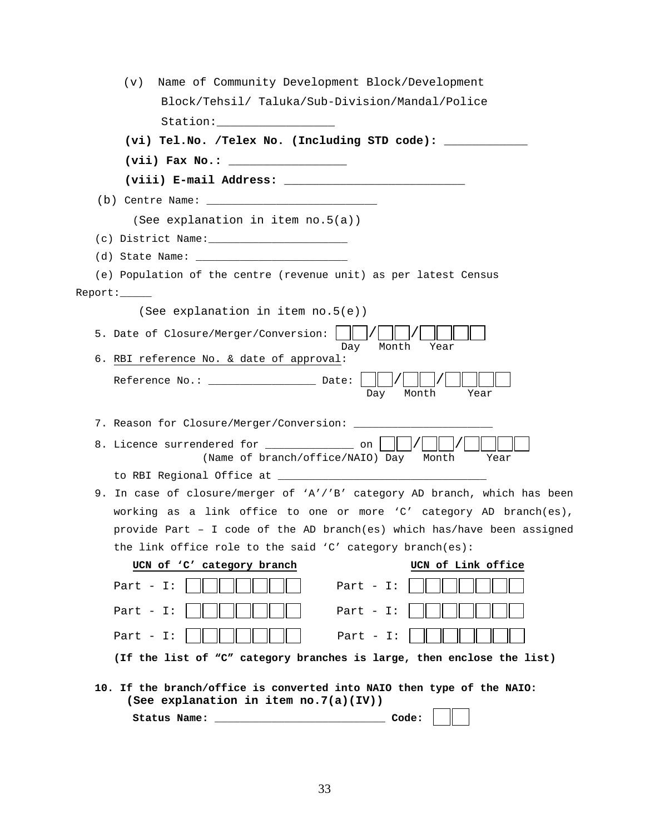| (See explanation in item $no.5(a)$ )                                                                            |
|-----------------------------------------------------------------------------------------------------------------|
|                                                                                                                 |
|                                                                                                                 |
| (e) Population of the centre (revenue unit) as per latest Census                                                |
| Report:                                                                                                         |
| (See explanation in item no.5(e))                                                                               |
| 5. Date of Closure/Merger/Conversion:<br>Month<br>Day<br>Year                                                   |
| 6. RBI reference No. & date of approval:                                                                        |
| Reference No.: ___________________ Date:<br>Month<br>Day<br>Year                                                |
| 7. Reason for Closure/Merger/Conversion: ______________                                                         |
|                                                                                                                 |
| 8. Licence surrendered for ______________ on<br>(Name of branch/office/NAIO) Day<br>Month<br>Year               |
|                                                                                                                 |
| 9. In case of closure/merger of 'A'/'B' category AD branch, which has been                                      |
| working as a link office to one or more 'C' category AD branch(es),                                             |
| provide Part - I code of the AD branch(es) which has/have been assigned                                         |
| the link office role to the said 'C' category branch(es):                                                       |
| UCN of Link office<br>UCN of 'C' category branch                                                                |
| Part - $I$ :<br>Part $-I$ :                                                                                     |
| Part - $I:$<br>Part - $I$ :                                                                                     |
| Part - $I$ :<br>Part - $I$ :                                                                                    |
| (If the list of "C" category branches is large, then enclose the list)                                          |
| 10. If the branch/office is converted into NAIO then type of the NAIO:<br>(See explanation in item no.7(a)(IV)) |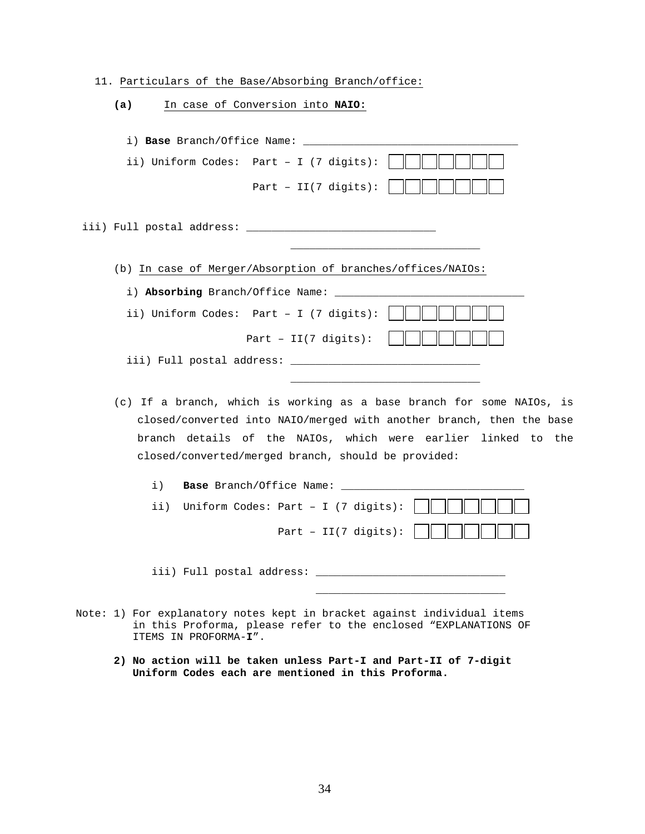11. Particulars of the Base/Absorbing Branch/office:

| In case of Conversion into NAIO:<br>(a)                               |  |  |  |  |  |  |  |  |
|-----------------------------------------------------------------------|--|--|--|--|--|--|--|--|
|                                                                       |  |  |  |  |  |  |  |  |
| i) Base Branch/Office Name:                                           |  |  |  |  |  |  |  |  |
| ii) Uniform Codes: Part - I (7 digits):                               |  |  |  |  |  |  |  |  |
| Part - $II(7 \text{ digits})$ :                                       |  |  |  |  |  |  |  |  |
|                                                                       |  |  |  |  |  |  |  |  |
| (b) In case of Merger/Absorption of branches/offices/NAIOs:           |  |  |  |  |  |  |  |  |
|                                                                       |  |  |  |  |  |  |  |  |
| ii) Uniform Codes: Part - I (7 digits):                               |  |  |  |  |  |  |  |  |
| Part - $II(7 \text{ digits})$ :                                       |  |  |  |  |  |  |  |  |
|                                                                       |  |  |  |  |  |  |  |  |
|                                                                       |  |  |  |  |  |  |  |  |
| (c) If a branch, which is working as a base branch for some NAIOs, is |  |  |  |  |  |  |  |  |
| closed/converted into NAIO/merged with another branch, then the base  |  |  |  |  |  |  |  |  |
| branch details of the NAIOs, which were earlier linked to the         |  |  |  |  |  |  |  |  |
| closed/converted/merged branch, should be provided:                   |  |  |  |  |  |  |  |  |
| $\pm$ )                                                               |  |  |  |  |  |  |  |  |
| Uniform Codes: Part - I (7 digits):<br>ii)                            |  |  |  |  |  |  |  |  |
| Part - II(7 digits):                                                  |  |  |  |  |  |  |  |  |
| iii) Full postal address:                                             |  |  |  |  |  |  |  |  |

Note: 1) For explanatory notes kept in bracket against individual items in this Proforma, please refer to the enclosed "EXPLANATIONS OF ITEMS IN PROFORMA-**I**".

 $\overline{\phantom{a}}$  , and the contract of the contract of the contract of the contract of the contract of the contract of the contract of the contract of the contract of the contract of the contract of the contract of the contrac

 **2) No action will be taken unless Part-I and Part-II of 7-digit Uniform Codes each are mentioned in this Proforma.**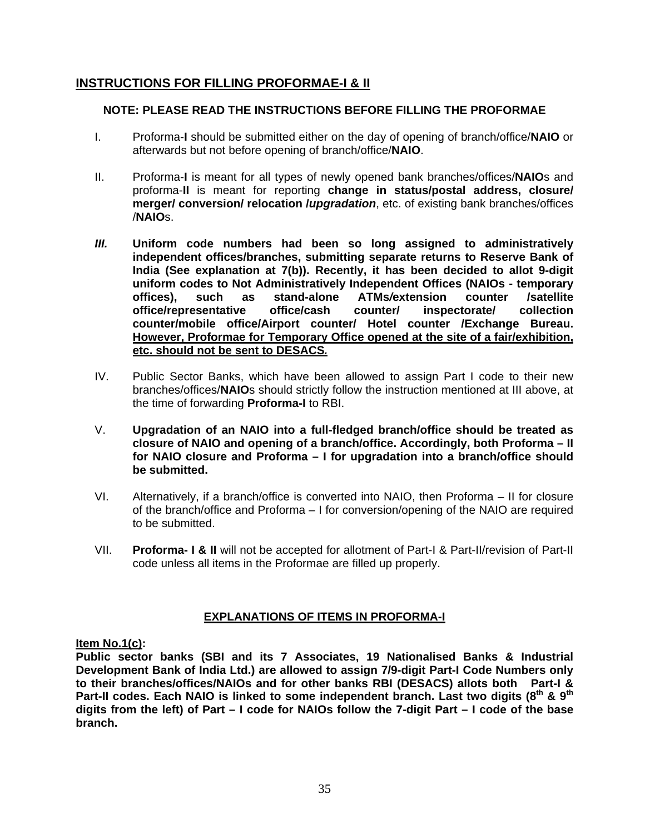## **INSTRUCTIONS FOR FILLING PROFORMAE-I & II**

## **NOTE: PLEASE READ THE INSTRUCTIONS BEFORE FILLING THE PROFORMAE**

- I. Proforma-**I** should be submitted either on the day of opening of branch/office/**NAIO** or afterwards but not before opening of branch/office/**NAIO**.
- II. Proforma-**I** is meant for all types of newly opened bank branches/offices/**NAIO**s and proforma-**II** is meant for reporting **change in status/postal address, closure/ merger/ conversion/ relocation /***upgradation*, etc. of existing bank branches/offices /**NAIO**s.
- *III.* **Uniform code numbers had been so long assigned to administratively independent offices/branches, submitting separate returns to Reserve Bank of India (See explanation at 7(b)). Recently, it has been decided to allot 9-digit uniform codes to Not Administratively Independent Offices (NAIOs - temporary offices), such as stand-alone ATMs***/***extension counter /satellite office/representative office/cash counter/ inspectorate/ collection counter/mobile office/Airport counter/ Hotel counter /Exchange Bureau. However, Proformae for Temporary Office opened at the site of a fair/exhibition, etc. should not be sent to DESACS***.*
- IV. Public Sector Banks, which have been allowed to assign Part I code to their new branches/offices/**NAIO**s should strictly follow the instruction mentioned at III above, at the time of forwarding **Proforma-I** to RBI.
- V. **Upgradation of an NAIO into a full-fledged branch/office should be treated as closure of NAIO and opening of a branch/office. Accordingly, both Proforma – II for NAIO closure and Proforma – I for upgradation into a branch/office should be submitted.**
- VI. Alternatively, if a branch/office is converted into NAIO, then Proforma II for closure of the branch/office and Proforma – I for conversion/opening of the NAIO are required to be submitted.
- VII. **Proforma- I & II** will not be accepted for allotment of Part-I & Part-II/revision of Part-II code unless all items in the Proformae are filled up properly.

## **EXPLANATIONS OF ITEMS IN PROFORMA-I**

## **Item No.1(c):**

**Public sector banks (SBI and its 7 Associates, 19 Nationalised Banks & Industrial Development Bank of India Ltd.) are allowed to assign 7/9-digit Part-I Code Numbers only to their branches/offices/NAIOs and for other banks RBI (DESACS) allots both Part-I &**  Part-II codes. Each NAIO is linked to some independent branch. Last two digits (8<sup>th</sup> & 9<sup>th</sup> **digits from the left) of Part – I code for NAIOs follow the 7-digit Part – I code of the base branch.**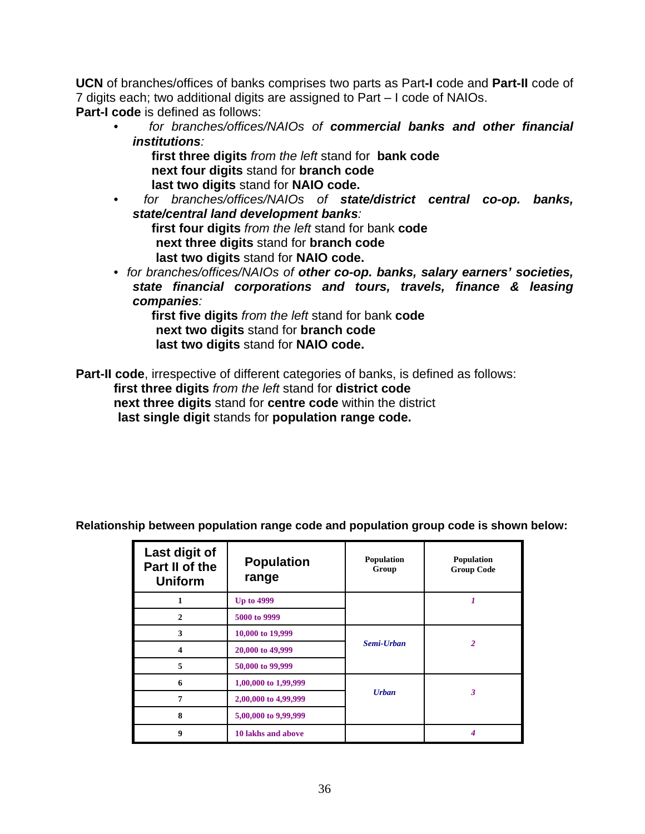**UCN** of branches/offices of banks comprises two parts as Part**-I** code and **Part-II** code of 7 digits each; two additional digits are assigned to Part – I code of NAIOs. **Part-I code** is defined as follows:

- *for branches/offices/NAIOs of commercial banks and other financial institutions:*
	- **first three digits** *from the left* stand for **bank code next four digits** stand for **branch code last two digits** stand for **NAIO code.**
- *for branches/offices/NAIOs of state/district central co-op. banks, state/central land development banks:*

**first four digits** *from the left* stand for bank **code next three digits** stand for **branch code last two digits** stand for **NAIO code.** 

• *for branches/offices/NAIOs of other co-op. banks, salary earners' societies, state financial corporations and tours, travels, finance & leasing companies:* 

**first five digits** *from the left* stand for bank **code next two digits** stand for **branch code last two digits** stand for **NAIO code.** 

**Part-II code**, irrespective of different categories of banks, is defined as follows:  **first three digits** *from the left* stand for **district code next three digits** stand for **centre code** within the district **last single digit** stands for **population range code.** 

| Last digit of<br>Part II of the<br><b>Uniform</b> | <b>Population</b><br>range | Population<br>Group | Population<br><b>Group Code</b> |
|---------------------------------------------------|----------------------------|---------------------|---------------------------------|
| 1                                                 | <b>Up to 4999</b>          |                     |                                 |
| $\mathbf{2}$                                      | 5000 to 9999               |                     |                                 |
| 3                                                 | 10,000 to 19,999           |                     | $\overline{2}$                  |
| 4                                                 | 20,000 to 49,999           | Semi-Urban          |                                 |
| 5                                                 | 50,000 to 99,999           |                     |                                 |
| 6                                                 | 1,00,000 to 1,99,999       | <b>Urban</b>        | 3                               |
| 7                                                 | 2,00,000 to 4,99,999       |                     |                                 |
| 8                                                 | 5,00,000 to 9,99,999       |                     |                                 |
| 9                                                 | 10 lakhs and above         |                     |                                 |

**Relationship between population range code and population group code is shown below:**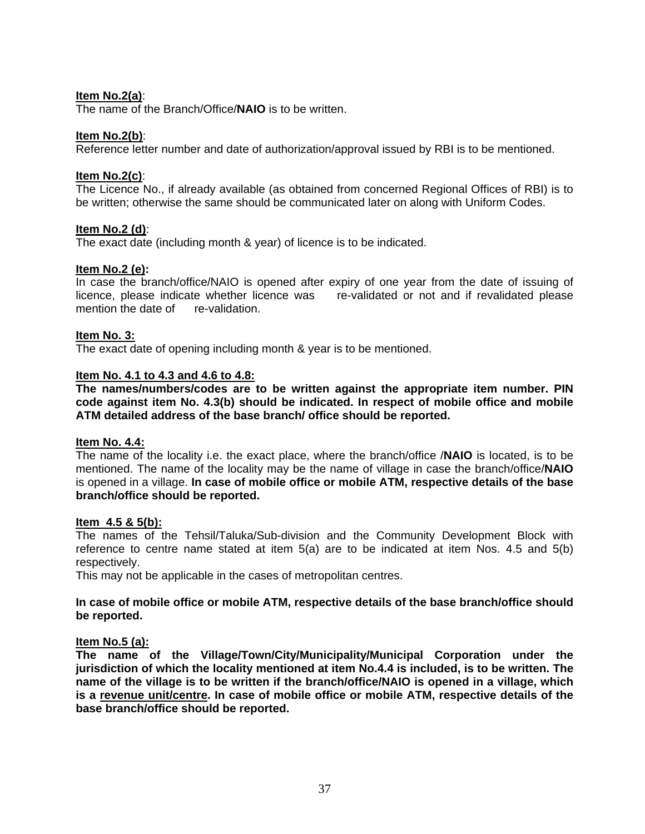### **Item No.2(a)**:

The name of the Branch/Office/**NAIO** is to be written.

### **Item No.2(b)**:

Reference letter number and date of authorization/approval issued by RBI is to be mentioned.

### **Item No.2(c)**:

The Licence No., if already available (as obtained from concerned Regional Offices of RBI) is to be written; otherwise the same should be communicated later on along with Uniform Codes.

### **Item No.2 (d)**:

The exact date (including month & year) of licence is to be indicated.

### **Item No.2 (e):**

In case the branch/office/NAIO is opened after expiry of one year from the date of issuing of licence, please indicate whether licence was re-validated or not and if revalidated please mention the date of re-validation.

### **Item No. 3:**

The exact date of opening including month & year is to be mentioned.

#### **Item No. 4.1 to 4.3 and 4.6 to 4.8:**

**The names/numbers/codes are to be written against the appropriate item number. PIN code against item No. 4.3(b) should be indicated. In respect of mobile office and mobile ATM detailed address of the base branch/ office should be reported.** 

#### **Item No. 4.4:**

The name of the locality i.e. the exact place, where the branch/office /**NAIO** is located, is to be mentioned. The name of the locality may be the name of village in case the branch/office/**NAIO** is opened in a village. **In case of mobile office or mobile ATM, respective details of the base branch/office should be reported.** 

#### **Item 4.5 & 5(b):**

The names of the Tehsil/Taluka/Sub-division and the Community Development Block with reference to centre name stated at item 5(a) are to be indicated at item Nos. 4.5 and 5(b) respectively.

This may not be applicable in the cases of metropolitan centres.

#### **In case of mobile office or mobile ATM, respective details of the base branch/office should be reported.**

#### **Item No.5 (a):**

**The name of the Village/Town/City/Municipality/Municipal Corporation under the jurisdiction of which the locality mentioned at item No.4.4 is included, is to be written. The name of the village is to be written if the branch/office/NAIO is opened in a village, which is a revenue unit/centre. In case of mobile office or mobile ATM, respective details of the base branch/office should be reported.**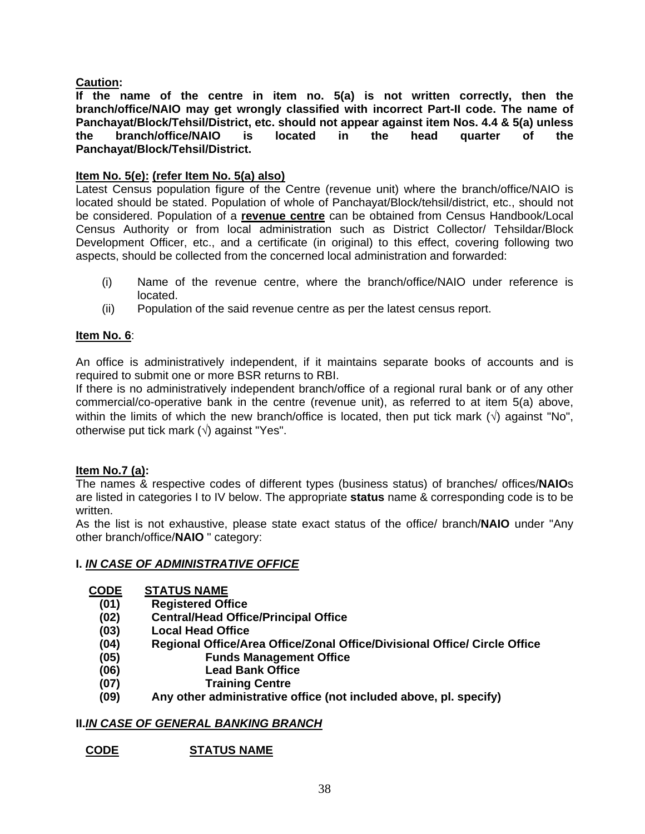## **Caution:**

**If the name of the centre in item no. 5(a) is not written correctly, then the branch/office/NAIO may get wrongly classified with incorrect Part-II code. The name of Panchayat/Block/Tehsil/District, etc. should not appear against item Nos. 4.4 & 5(a) unless the branch/office/NAIO is located in the head quarter of the Panchayat/Block/Tehsil/District.** 

## **Item No. 5(e): (refer Item No. 5(a) also)**

Latest Census population figure of the Centre (revenue unit) where the branch/office/NAIO is located should be stated. Population of whole of Panchayat/Block/tehsil/district, etc., should not be considered. Population of a **revenue centre** can be obtained from Census Handbook/Local Census Authority or from local administration such as District Collector/ Tehsildar/Block Development Officer, etc., and a certificate (in original) to this effect, covering following two aspects, should be collected from the concerned local administration and forwarded:

- (i) Name of the revenue centre, where the branch/office/NAIO under reference is located.
- (ii) Population of the said revenue centre as per the latest census report.

## **Item No. 6**:

An office is administratively independent, if it maintains separate books of accounts and is required to submit one or more BSR returns to RBI.

If there is no administratively independent branch/office of a regional rural bank or of any other commercial/co-operative bank in the centre (revenue unit), as referred to at item 5(a) above, within the limits of which the new branch/office is located, then put tick mark  $(\sqrt{)}$  against "No", otherwise put tick mark  $(\sqrt{)}$  against "Yes".

## **Item No.7 (a):**

The names & respective codes of different types (business status) of branches/ offices/**NAIO**s are listed in categories I to IV below. The appropriate **status** name & corresponding code is to be written.

As the list is not exhaustive, please state exact status of the office/ branch/**NAIO** under "Any other branch/office/**NAIO** " category:

## **I.** *IN CASE OF ADMINISTRATIVE OFFICE*

## **CODE STATUS NAME**

- **(01) Registered Office**
- **(02) Central/Head Office/Principal Office**
- **(03) Local Head Office**
- **(04) Regional Office/Area Office/Zonal Office/Divisional Office/ Circle Office**
- **(05) Funds Management Office**
- **(06) Lead Bank Office**
- **(07) Training Centre**
- **(09) Any other administrative office (not included above, pl. specify)**

## **II.***IN CASE OF GENERAL BANKING BRANCH*

## **CODE STATUS NAME**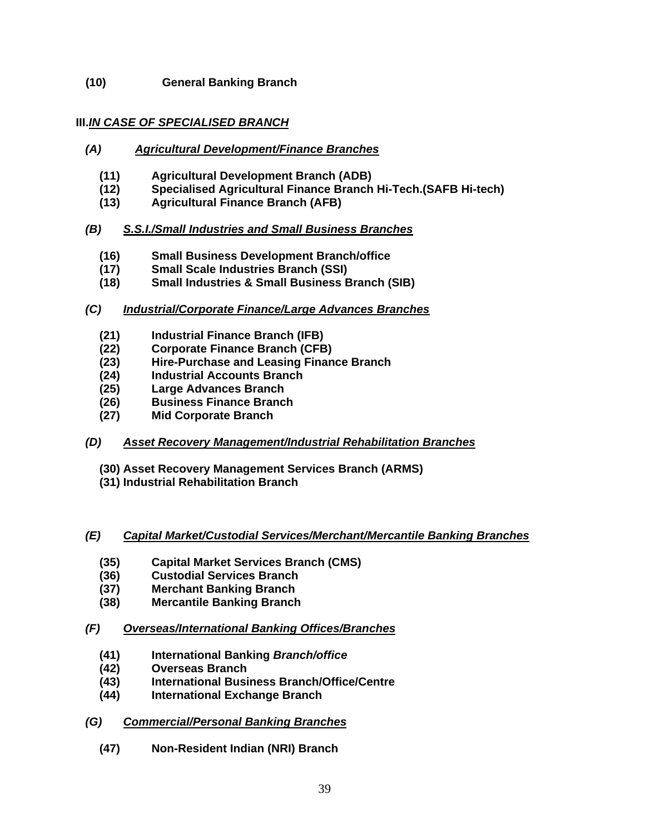**(10) General Banking Branch** 

## **III.***IN CASE OF SPECIALISED BRANCH*

- *(A) Agricultural Development/Finance Branches*
	- **(11) Agricultural Development Branch (ADB)**
	- **(12) Specialised Agricultural Finance Branch Hi-Tech.(SAFB Hi-tech)**
	- **(13) Agricultural Finance Branch (AFB)**

## *(B) S.S.I./Small Industries and Small Business Branches*

- **(16) Small Business Development Branch/office**
- **(17) Small Scale Industries Branch (SSI)**
- **(18) Small Industries & Small Business Branch (SIB)**
- *(C) Industrial/Corporate Finance/Large Advances Branches*
	- **(21) Industrial Finance Branch (IFB)**
	- **(22) Corporate Finance Branch (CFB)**
	- **(23) Hire-Purchase and Leasing Finance Branch**
	- **(24) Industrial Accounts Branch**
	- **(25) Large Advances Branch**
	- **(26) Business Finance Branch**
	- **(27) Mid Corporate Branch**
- *(D) Asset Recovery Management/Industrial Rehabilitation Branches*
	- **(30) Asset Recovery Management Services Branch (ARMS)**
	- **(31) Industrial Rehabilitation Branch**

## *(E) Capital Market/Custodial Services/Merchant/Mercantile Banking Branches*

- **(35) Capital Market Services Branch (CMS)**
- **(36) Custodial Services Branch**
- **(37) Merchant Banking Branch**
- **(38) Mercantile Banking Branch**
- *(F) Overseas/International Banking Offices/Branches*
	- **(41) International Banking** *Branch/office*
	- **(42) Overseas Branch**
	- **(43) International Business Branch/Office/Centre**
	- **(44) International Exchange Branch**
- *(G) Commercial/Personal Banking Branches*
	- **(47) Non-Resident Indian (NRI) Branch**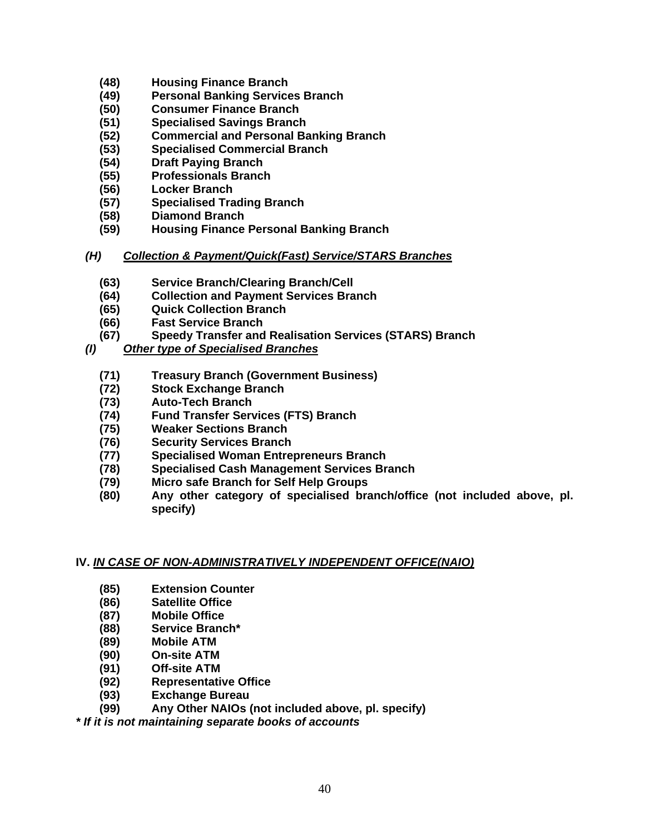- **(48) Housing Finance Branch**
- **(49) Personal Banking Services Branch**
- **(50) Consumer Finance Branch**
- **(51) Specialised Savings Branch**
- **(52) Commercial and Personal Banking Branch**
- **(53) Specialised Commercial Branch**
- **(54) Draft Paying Branch**
- **(55) Professionals Branch**
- **(56) Locker Branch**
- **(57) Specialised Trading Branch**
- **(58) Diamond Branch**
- **(59) Housing Finance Personal Banking Branch**
- *(H) Collection & Payment/Quick(Fast) Service/STARS Branches*
	- **(63) Service Branch/Clearing Branch/Cell**
	- **(64) Collection and Payment Services Branch**
	- **(65) Quick Collection Branch**
	- **(66) Fast Service Branch**
	- **(67) Speedy Transfer and Realisation Services (STARS) Branch**
- *(I) Other type of Specialised Branches*
	- **(71) Treasury Branch (Government Business)**
	- **(72) Stock Exchange Branch**
	- **(73) Auto-Tech Branch**
	- **(74) Fund Transfer Services (FTS) Branch**
	- **(75) Weaker Sections Branch**
	- **(76) Security Services Branch**
	- **(77) Specialised Woman Entrepreneurs Branch**
	- **(78) Specialised Cash Management Services Branch**
	- **(79) Micro safe Branch for Self Help Groups**
	- **(80) Any other category of specialised branch/office (not included above, pl. specify)**

## **IV.** *IN CASE OF NON-ADMINISTRATIVELY INDEPENDENT OFFICE(NAIO)*

- **(85) Extension Counter**
- **(86) Satellite Office**
- **(87) Mobile Office**
- **(88) Service Branch\***
- **(89) Mobile ATM**
- **(90) On-site ATM**
- **(91) Off-site ATM**
- **(92) Representative Office**
- **(93) Exchange Bureau**
- **(99) Any Other NAIOs (not included above, pl. specify)**

*\* If it is not maintaining separate books of accounts*